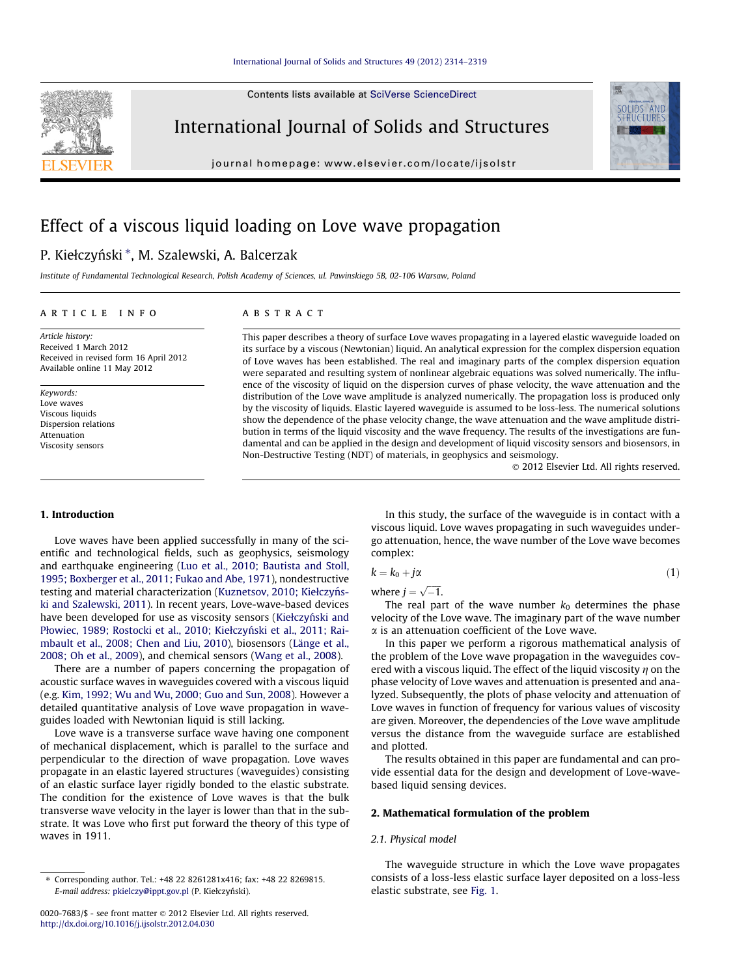Contents lists available at [SciVerse ScienceDirect](http://www.sciencedirect.com/science/journal/00207683)



International Journal of Solids and Structures

journal homepage: [www.elsevier.com/locate/ijsolstr](http://www.elsevier.com/locate/ijsolstr)



# Effect of a viscous liquid loading on Love wave propagation

# P. Kiełczyński \*, M. Szalewski, A. Balcerzak

Institute of Fundamental Technological Research, Polish Academy of Sciences, ul. Pawinskiego 5B, 02-106 Warsaw, Poland

# article info

Article history: Received 1 March 2012 Received in revised form 16 April 2012 Available online 11 May 2012

Keywords: Love waves Viscous liquids Dispersion relations Attenuation Viscosity sensors

#### **ABSTRACT**

This paper describes a theory of surface Love waves propagating in a layered elastic waveguide loaded on its surface by a viscous (Newtonian) liquid. An analytical expression for the complex dispersion equation of Love waves has been established. The real and imaginary parts of the complex dispersion equation were separated and resulting system of nonlinear algebraic equations was solved numerically. The influence of the viscosity of liquid on the dispersion curves of phase velocity, the wave attenuation and the distribution of the Love wave amplitude is analyzed numerically. The propagation loss is produced only by the viscosity of liquids. Elastic layered waveguide is assumed to be loss-less. The numerical solutions show the dependence of the phase velocity change, the wave attenuation and the wave amplitude distribution in terms of the liquid viscosity and the wave frequency. The results of the investigations are fundamental and can be applied in the design and development of liquid viscosity sensors and biosensors, in Non-Destructive Testing (NDT) of materials, in geophysics and seismology.

- 2012 Elsevier Ltd. All rights reserved.

# 1. Introduction

Love waves have been applied successfully in many of the scientific and technological fields, such as geophysics, seismology and earthquake engineering [\(Luo et al., 2010; Bautista and Stoll,](#page-5-0) [1995; Boxberger et al., 2011; Fukao and Abe, 1971](#page-5-0)), nondestructive testing and material characterization (Kuznetsov, 2010; Kiełczyńs[ki and Szalewski, 2011](#page-5-0)). In recent years, Love-wave-based devices have been developed for use as viscosity sensors (Kiełczyński and Płowiec, 1989; Rostocki et al., 2010; Kiełczyński et al., 2011; Rai[mbault et al., 2008; Chen and Liu, 2010\)](#page-5-0), biosensors [\(Länge et al.,](#page-5-0) [2008; Oh et al., 2009\)](#page-5-0), and chemical sensors [\(Wang et al., 2008\)](#page-5-0).

There are a number of papers concerning the propagation of acoustic surface waves in waveguides covered with a viscous liquid (e.g. [Kim, 1992; Wu and Wu, 2000; Guo and Sun, 2008\)](#page-5-0). However a detailed quantitative analysis of Love wave propagation in waveguides loaded with Newtonian liquid is still lacking.

Love wave is a transverse surface wave having one component of mechanical displacement, which is parallel to the surface and perpendicular to the direction of wave propagation. Love waves propagate in an elastic layered structures (waveguides) consisting of an elastic surface layer rigidly bonded to the elastic substrate. The condition for the existence of Love waves is that the bulk transverse wave velocity in the layer is lower than that in the substrate. It was Love who first put forward the theory of this type of waves in 1911.

In this study, the surface of the waveguide is in contact with a viscous liquid. Love waves propagating in such waveguides undergo attenuation, hence, the wave number of the Love wave becomes complex:

$$
k = k_0 + j\alpha \tag{1}
$$

where  $j = \sqrt{-1}$ .

The real part of the wave number  $k_0$  determines the phase velocity of the Love wave. The imaginary part of the wave number  $\alpha$  is an attenuation coefficient of the Love wave.

In this paper we perform a rigorous mathematical analysis of the problem of the Love wave propagation in the waveguides covered with a viscous liquid. The effect of the liquid viscosity  $\eta$  on the phase velocity of Love waves and attenuation is presented and analyzed. Subsequently, the plots of phase velocity and attenuation of Love waves in function of frequency for various values of viscosity are given. Moreover, the dependencies of the Love wave amplitude versus the distance from the waveguide surface are established and plotted.

The results obtained in this paper are fundamental and can provide essential data for the design and development of Love-wavebased liquid sensing devices.

#### 2. Mathematical formulation of the problem

# 2.1. Physical model

The waveguide structure in which the Love wave propagates consists of a loss-less elastic surface layer deposited on a loss-less elastic substrate, see [Fig. 1](#page-1-0).

<sup>⇑</sup> Corresponding author. Tel.: +48 22 8261281x416; fax: +48 22 8269815. E-mail address: [pkielczy@ippt.gov.pl](mailto:pkielczy@ippt.gov.pl) (P. Kiełczyński).

<sup>0020-7683/\$ -</sup> see front matter © 2012 Elsevier Ltd. All rights reserved. <http://dx.doi.org/10.1016/j.ijsolstr.2012.04.030>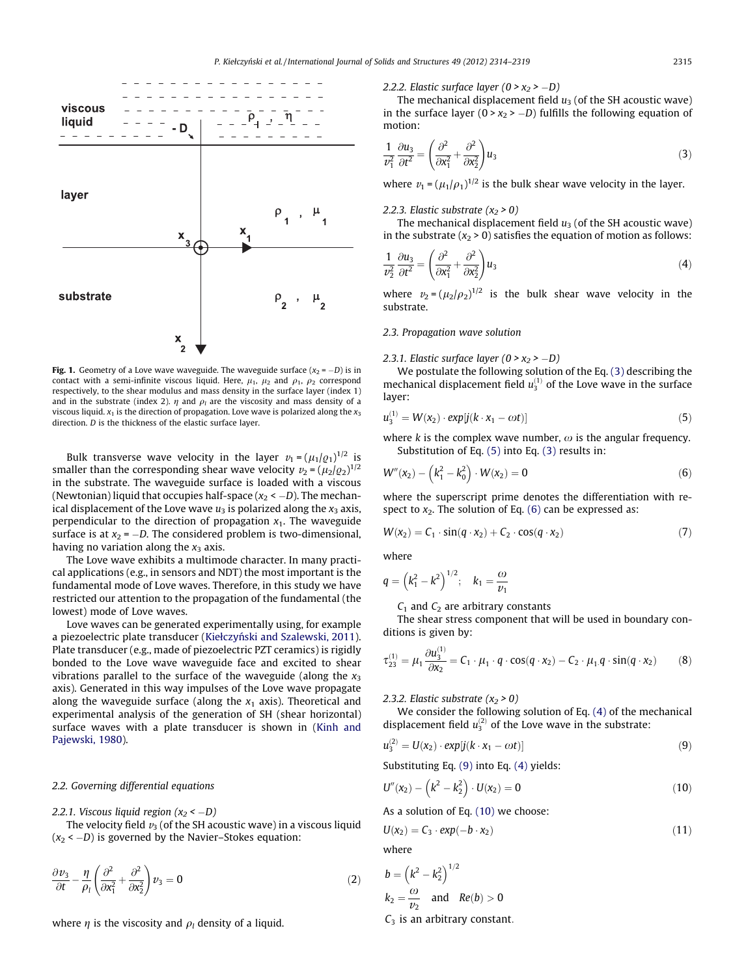<span id="page-1-0"></span>

**Fig. 1.** Geometry of a Love wave waveguide. The waveguide surface ( $x_2 = -D$ ) is in contact with a semi-infinite viscous liquid. Here,  $\mu_1$ ,  $\mu_2$  and  $\rho_1$ ,  $\rho_2$  correspond respectively, to the shear modulus and mass density in the surface layer (index 1) and in the substrate (index 2).  $\eta$  and  $\rho_l$  are the viscosity and mass density of a viscous liquid.  $x_1$  is the direction of propagation. Love wave is polarized along the  $x_3$ direction. D is the thickness of the elastic surface layer.

Bulk transverse wave velocity in the layer  $v_1 = (\mu_1/\rho_1)^{1/2}$  is smaller than the corresponding shear wave velocity  $v_2$  =  $(\mu_2/\varrho_2)^{1/2}$ in the substrate. The waveguide surface is loaded with a viscous (Newtonian) liquid that occupies half-space ( $x_2 < -D$ ). The mechanical displacement of the Love wave  $u_3$  is polarized along the  $x_3$  axis, perpendicular to the direction of propagation  $x_1$ . The waveguide surface is at  $x_2 = -D$ . The considered problem is two-dimensional, having no variation along the  $x_3$  axis.

The Love wave exhibits a multimode character. In many practical applications (e.g., in sensors and NDT) the most important is the fundamental mode of Love waves. Therefore, in this study we have restricted our attention to the propagation of the fundamental (the lowest) mode of Love waves.

Love waves can be generated experimentally using, for example a piezoelectric plate transducer (Kiełczyń[ski and Szalewski, 2011\)](#page-5-0). Plate transducer (e.g., made of piezoelectric PZT ceramics) is rigidly bonded to the Love wave waveguide face and excited to shear vibrations parallel to the surface of the waveguide (along the  $x_3$ ) axis). Generated in this way impulses of the Love wave propagate along the waveguide surface (along the  $x_1$  axis). Theoretical and experimental analysis of the generation of SH (shear horizontal) surface waves with a plate transducer is shown in [\(Kinh and](#page-5-0) [Pajewski, 1980](#page-5-0)).

# 2.2. Governing differential equations

2.2.1. Viscous liquid region (x $_2$  <  $-D)$ 

The velocity field  $v_3$  (of the SH acoustic wave) in a viscous liquid  $(x_2 < -D)$  is governed by the Navier–Stokes equation:

$$
\frac{\partial v_3}{\partial t} - \frac{\eta}{\rho_l} \left( \frac{\partial^2}{\partial x_1^2} + \frac{\partial^2}{\partial x_2^2} \right) v_3 = 0 \tag{2}
$$

where  $\eta$  is the viscosity and  $\rho_l$  density of a liquid.

2.2.2. Elastic surface layer  $(0 > x_2 > -D)$ 

The mechanical displacement field  $u_3$  (of the SH acoustic wave) in the surface layer (0 >  $x_2$  >  $-D$ ) fulfills the following equation of motion:

$$
\frac{1}{\nu_1^2} \frac{\partial u_3}{\partial t^2} = \left(\frac{\partial^2}{\partial x_1^2} + \frac{\partial^2}{\partial x_2^2}\right) u_3 \tag{3}
$$

where  $v_1 = (\mu_1/\rho_1)^{1/2}$  is the bulk shear wave velocity in the layer.

# 2.2.3. Elastic substrate  $(x_2 > 0)$

The mechanical displacement field  $u_3$  (of the SH acoustic wave) in the substrate  $(x_2 > 0)$  satisfies the equation of motion as follows:

$$
\frac{1}{v_2^2} \frac{\partial u_3}{\partial t^2} = \left( \frac{\partial^2}{\partial x_1^2} + \frac{\partial^2}{\partial x_2^2} \right) u_3 \tag{4}
$$

where  $v_2 = (\mu_2/\rho_2)^{1/2}$  is the bulk shear wave velocity in the substrate.

# 2.3. Propagation wave solution

# 2.3.1. Elastic surface layer  $(0 > x_2 > -D)$

We postulate the following solution of the Eq. (3) describing the mechanical displacement field  $u_3^{(1)}$  of the Love wave in the surface layer:

$$
u_3^{(1)} = W(x_2) \cdot exp[j(k \cdot x_1 - \omega t)] \tag{5}
$$

where k is the complex wave number,  $\omega$  is the angular frequency. Substitution of Eq. (5) into Eq. (3) results in:

$$
W''(x_2) - (k_1^2 - k_0^2) \cdot W(x_2) = 0 \tag{6}
$$

where the superscript prime denotes the differentiation with respect to  $x_2$ . The solution of Eq. (6) can be expressed as:

$$
W(x_2) = C_1 \cdot \sin(q \cdot x_2) + C_2 \cdot \cos(q \cdot x_2)
$$
 (7)

where

$$
q = (k_1^2 - k^2)^{1/2};
$$
  $k_1 = \frac{\omega}{\nu_1}$ 

 $C_1$  and  $C_2$  are arbitrary constants

The shear stress component that will be used in boundary conditions is given by:

$$
\tau_{23}^{(1)} = \mu_1 \frac{\partial u_3^{(1)}}{\partial x_2} = C_1 \cdot \mu_1 \cdot q \cdot \cos(q \cdot x_2) - C_2 \cdot \mu_1 q \cdot \sin(q \cdot x_2)
$$
 (8)

2.3.2. Elastic substrate  $(x_2 > 0)$ 

We consider the following solution of Eq. (4) of the mechanical displacement field  $u_3^{(2)}$  of the Love wave in the substrate:

$$
u_3^{(2)} = U(x_2) \cdot exp[j(k \cdot x_1 - \omega t)] \tag{9}
$$

Substituting Eq. (9) into Eq. (4) yields:

$$
U''(x_2) - (k^2 - k_2^2) \cdot U(x_2) = 0 \tag{10}
$$

As a solution of Eq. (10) we choose:

$$
U(x_2) = C_3 \cdot exp(-b \cdot x_2)
$$
\nwhere

$$
b = (k2 - k22)1/2
$$
  
\n
$$
k2 = \frac{\omega}{\nu_2} \text{ and } Re(b) > 0
$$
  
\n
$$
C_3 \text{ is an arbitrary constant.}
$$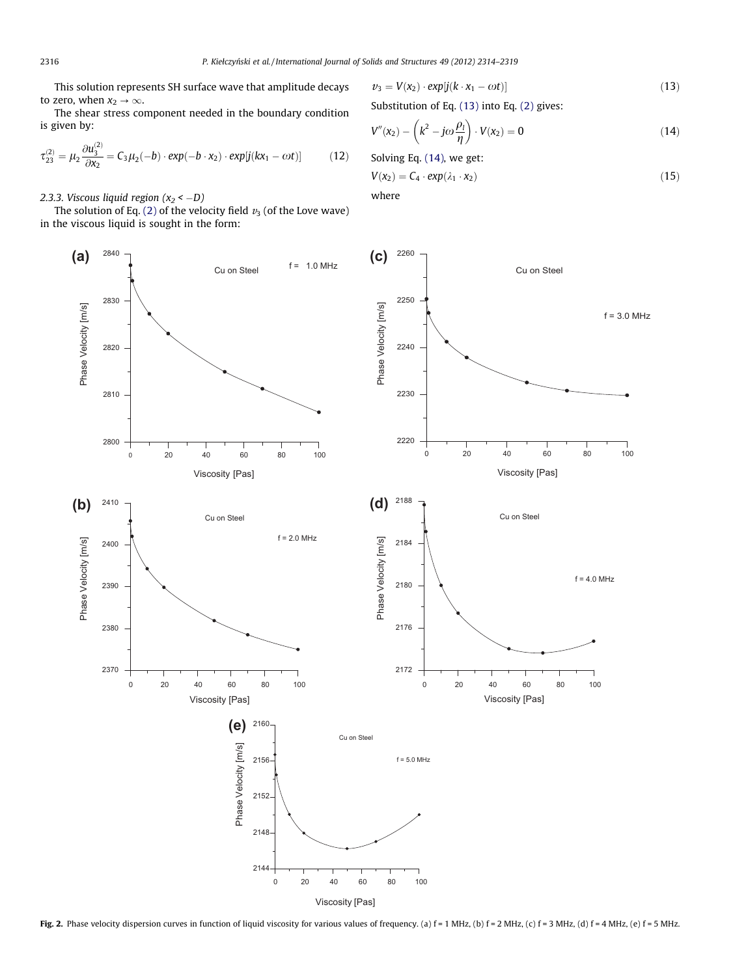<span id="page-2-0"></span>This solution represents SH surface wave that amplitude decays to zero, when  $x_2 \rightarrow \infty$ .

The shear stress component needed in the boundary condition is given by:

$$
\tau_{23}^{(2)} = \mu_2 \frac{\partial u_3^{(2)}}{\partial x_2} = C_3 \mu_2(-b) \cdot \exp(-b \cdot x_2) \cdot \exp[j(kx_1 - \omega t)] \tag{12}
$$

2.3.3. Viscous liquid region (x $_2$  <  $-D$ )

The solution of Eq. [\(2\)](#page-1-0) of the velocity field  $v_3$  (of the Love wave) in the viscous liquid is sought in the form:

$$
v_3 = V(x_2) \cdot exp[j(k \cdot x_1 - \omega t)] \tag{13}
$$

Substitution of Eq. (13) into Eq. [\(2\)](#page-1-0) gives:

$$
V''(x_2) - \left(k^2 - j\omega \frac{\rho_l}{\eta}\right) \cdot V(x_2) = 0 \tag{14}
$$

Solving Eq. (14), we get:

$$
V(x_2) = C_4 \cdot exp(\lambda_1 \cdot x_2)
$$
\nwhere

where



Fig. 2. Phase velocity dispersion curves in function of liquid viscosity for various values of frequency. (a)  $f = 1$  MHz, (b)  $f = 2$  MHz, (c)  $f = 3$  MHz, (d)  $f = 4$  MHz, (e)  $f = 5$  MHz.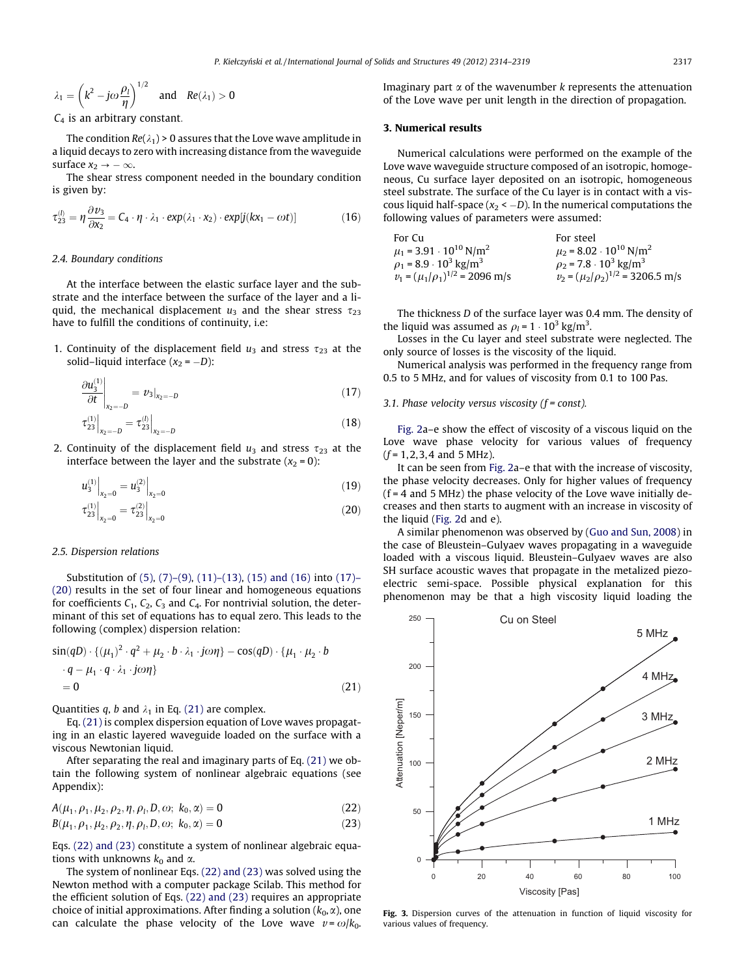<span id="page-3-0"></span>
$$
\lambda_1 = \left(k^2 - j\omega\frac{\rho_l}{\eta}\right)^{1/2} \quad \text{and} \quad \text{Re}(\lambda_1) > 0
$$

 $C_4$  is an arbitrary constant.

The condition  $Re(\lambda_1) > 0$  assures that the Love wave amplitude in a liquid decays to zero with increasing distance from the waveguide surface  $x_2 \to -\infty$ .

The shear stress component needed in the boundary condition is given by:

$$
\tau_{23}^{(l)} = \eta \frac{\partial v_3}{\partial x_2} = C_4 \cdot \eta \cdot \lambda_1 \cdot \exp(\lambda_1 \cdot x_2) \cdot \exp[j(kx_1 - \omega t)] \tag{16}
$$

#### 2.4. Boundary conditions

At the interface between the elastic surface layer and the substrate and the interface between the surface of the layer and a liquid, the mechanical displacement  $u_3$  and the shear stress  $\tau_{23}$ have to fulfill the conditions of continuity, i.e:

1. Continuity of the displacement field  $u_3$  and stress  $\tau_{23}$  at the solid–liquid interface ( $x_2 = -D$ ):

$$
\left. \frac{\partial u_3^{(1)}}{\partial t} \right|_{x_2 = -D} = v_3 \big|_{x_2 = -D} \tag{17}
$$

$$
\tau_{23}^{(1)}\Big|_{x_2=-D} = \tau_{23}^{(l)}\Big|_{x_2=-D} \tag{18}
$$

2. Continuity of the displacement field  $u_3$  and stress  $\tau_{23}$  at the interface between the layer and the substrate  $(x_2 = 0)$ :

$$
u_3^{(1)}\Big|_{x_2=0}=u_3^{(2)}\Big|_{x_2=0}\tag{19}
$$

$$
\tau_{23}^{(1)}\Big|_{x_2=0} = \tau_{23}^{(2)}\Big|_{x_2=0} \tag{20}
$$

#### 2.5. Dispersion relations

Substitution of [\(5\)](#page-1-0), [\(7\)–\(9\),](#page-1-0) [\(11\)–\(13\)](#page-1-0), [\(15\) and \(16\)](#page-2-0) into (17)– (20) results in the set of four linear and homogeneous equations for coefficients  $C_1$ ,  $C_2$ ,  $C_3$  and  $C_4$ . For nontrivial solution, the determinant of this set of equations has to equal zero. This leads to the following (complex) dispersion relation:

$$
\sin(qD) \cdot \{(\mu_1)^2 \cdot q^2 + \mu_2 \cdot b \cdot \lambda_1 \cdot j\omega\eta\} - \cos(qD) \cdot \{\mu_1 \cdot \mu_2 \cdot b
$$
  
\n
$$
\cdot q - \mu_1 \cdot q \cdot \lambda_1 \cdot j\omega\eta\}
$$
  
\n
$$
= 0
$$
\n(21)

Quantities q, b and  $\lambda_1$  in Eq. (21) are complex.

Eq. (21) is complex dispersion equation of Love waves propagating in an elastic layered waveguide loaded on the surface with a viscous Newtonian liquid.

After separating the real and imaginary parts of Eq. (21) we obtain the following system of nonlinear algebraic equations (see Appendix):

$$
A(\mu_1, \rho_1, \mu_2, \rho_2, \eta, \rho_1, D, \omega; k_0, \alpha) = 0
$$
\n(22)

$$
B(\mu_1, \rho_1, \mu_2, \rho_2, \eta, \rho_l, D, \omega; k_0, \alpha) = 0
$$
\n(23)

Eqs. (22) and (23) constitute a system of nonlinear algebraic equations with unknowns  $k_0$  and  $\alpha$ .

The system of nonlinear Eqs. (22) and (23) was solved using the Newton method with a computer package Scilab. This method for the efficient solution of Eqs. (22) and (23) requires an appropriate choice of initial approximations. After finding a solution  $(k_0, \alpha)$ , one can calculate the phase velocity of the Love wave  $v = \omega/k_0$ . Imaginary part  $\alpha$  of the wavenumber k represents the attenuation of the Love wave per unit length in the direction of propagation.

# 3. Numerical results

Numerical calculations were performed on the example of the Love wave waveguide structure composed of an isotropic, homogeneous, Cu surface layer deposited on an isotropic, homogeneous steel substrate. The surface of the Cu layer is in contact with a viscous liquid half-space ( $x_2 < -D$ ). In the numerical computations the following values of parameters were assumed:

For Cu For steel  $\mu_1$  = 3.91  $\cdot$  10<sup>10</sup> N/m<sup>2</sup>  $\mu_2$  = 8.02  $\cdot$  10<sup>10</sup> N/m<sup>2</sup>  $\rho_1$  = 8.9  $\cdot$  10<sup>3</sup> kg/m<sup>3</sup>  $\rho_2$  = 7.8  $\cdot$  10<sup>3</sup> kg/m<sup>3</sup>  $v_1 = (\mu_1/\rho_1)^{1/2} = 2096 \text{ m/s}$   $v_2 = (\mu_2/\rho_2)$  $1/2$  = 3206.5 m/s

The thickness D of the surface layer was 0.4 mm. The density of the liquid was assumed as  $\rho_l$  = 1  $\cdot$  10<sup>3</sup> kg/m<sup>3</sup>.

Losses in the Cu layer and steel substrate were neglected. The only source of losses is the viscosity of the liquid.

Numerical analysis was performed in the frequency range from 0.5 to 5 MHz, and for values of viscosity from 0.1 to 100 Pas.

# 3.1. Phase velocity versus viscosity ( $f = const$ ).

[Fig. 2a](#page-2-0)–e show the effect of viscosity of a viscous liquid on the Love wave phase velocity for various values of frequency  $(f = 1, 2, 3, 4$  and 5 MHz).

It can be seen from [Fig. 2a](#page-2-0)–e that with the increase of viscosity, the phase velocity decreases. Only for higher values of frequency  $(f = 4$  and 5 MHz) the phase velocity of the Love wave initially decreases and then starts to augment with an increase in viscosity of the liquid [\(Fig. 2d](#page-2-0) and e).

A similar phenomenon was observed by [\(Guo and Sun, 2008\)](#page-5-0) in the case of Bleustein–Gulyaev waves propagating in a waveguide loaded with a viscous liquid. Bleustein–Gulyaev waves are also SH surface acoustic waves that propagate in the metalized piezoelectric semi-space. Possible physical explanation for this phenomenon may be that a high viscosity liquid loading the



Fig. 3. Dispersion curves of the attenuation in function of liquid viscosity for various values of frequency.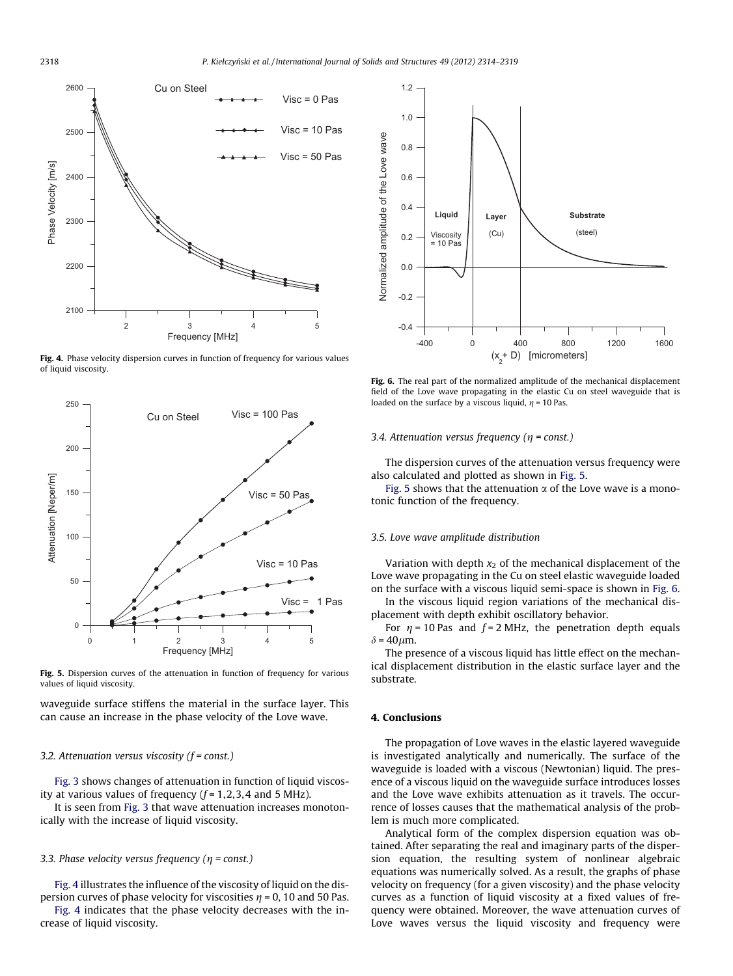

Fig. 4. Phase velocity dispersion curves in function of frequency for various values of liquid viscosity.



Fig. 5. Dispersion curves of the attenuation in function of frequency for various values of liquid viscosity.

waveguide surface stiffens the material in the surface layer. This can cause an increase in the phase velocity of the Love wave.

#### 3.2. Attenuation versus viscosity  $(f = const.)$

[Fig. 3](#page-3-0) shows changes of attenuation in function of liquid viscosity at various values of frequency  $(f = 1, 2, 3, 4$  and 5 MHz).

It is seen from [Fig. 3](#page-3-0) that wave attenuation increases monotonically with the increase of liquid viscosity.

#### 3.3. Phase velocity versus frequency ( $\eta$  = const.)

Fig. 4 illustrates the influence of the viscosity of liquid on the dispersion curves of phase velocity for viscosities  $\eta$  = 0, 10 and 50 Pas.

Fig. 4 indicates that the phase velocity decreases with the increase of liquid viscosity.



Fig. 6. The real part of the normalized amplitude of the mechanical displacement field of the Love wave propagating in the elastic Cu on steel waveguide that is loaded on the surface by a viscous liquid,  $\eta$  = 10 Pas.

#### 3.4. Attenuation versus frequency ( $\eta$  = const.)

The dispersion curves of the attenuation versus frequency were also calculated and plotted as shown in Fig. 5.

Fig. 5 shows that the attenuation  $\alpha$  of the Love wave is a monotonic function of the frequency.

#### 3.5. Love wave amplitude distribution

Variation with depth  $x_2$  of the mechanical displacement of the Love wave propagating in the Cu on steel elastic waveguide loaded on the surface with a viscous liquid semi-space is shown in Fig. 6.

In the viscous liquid region variations of the mechanical displacement with depth exhibit oscillatory behavior.

For  $\eta$  = 10 Pas and  $f$  = 2 MHz, the penetration depth equals  $\delta$  = 40 $\mu$ m.

The presence of a viscous liquid has little effect on the mechanical displacement distribution in the elastic surface layer and the substrate.

# 4. Conclusions

The propagation of Love waves in the elastic layered waveguide is investigated analytically and numerically. The surface of the waveguide is loaded with a viscous (Newtonian) liquid. The presence of a viscous liquid on the waveguide surface introduces losses and the Love wave exhibits attenuation as it travels. The occurrence of losses causes that the mathematical analysis of the problem is much more complicated.

Analytical form of the complex dispersion equation was obtained. After separating the real and imaginary parts of the dispersion equation, the resulting system of nonlinear algebraic equations was numerically solved. As a result, the graphs of phase velocity on frequency (for a given viscosity) and the phase velocity curves as a function of liquid viscosity at a fixed values of frequency were obtained. Moreover, the wave attenuation curves of Love waves versus the liquid viscosity and frequency were